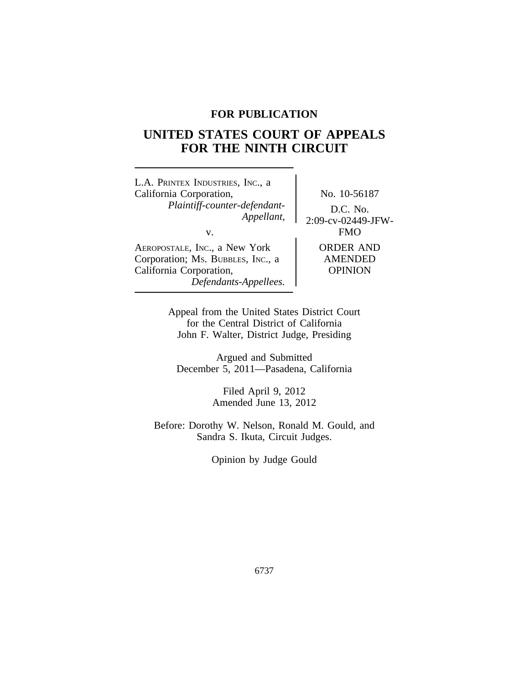## **FOR PUBLICATION**

# **UNITED STATES COURT OF APPEALS FOR THE NINTH CIRCUIT**

| L.A. PRINTEX INDUSTRIES, INC., a<br>California Corporation,<br>Plaintiff-counter-defendant-<br>Appellant,<br>V.        | No. 10-56187<br>D.C. No.<br>2:09-cv-02449-JFW-<br><b>FMO</b> |
|------------------------------------------------------------------------------------------------------------------------|--------------------------------------------------------------|
| AEROPOSTALE, INC., a New York<br>Corporation; Ms. BUBBLES, INC., a<br>California Corporation,<br>Defendants-Appellees. | <b>ORDER AND</b><br><b>AMENDED</b><br><b>OPINION</b>         |

Appeal from the United States District Court for the Central District of California John F. Walter, District Judge, Presiding

Argued and Submitted December 5, 2011—Pasadena, California

> Filed April 9, 2012 Amended June 13, 2012

Before: Dorothy W. Nelson, Ronald M. Gould, and Sandra S. Ikuta, Circuit Judges.

Opinion by Judge Gould

6737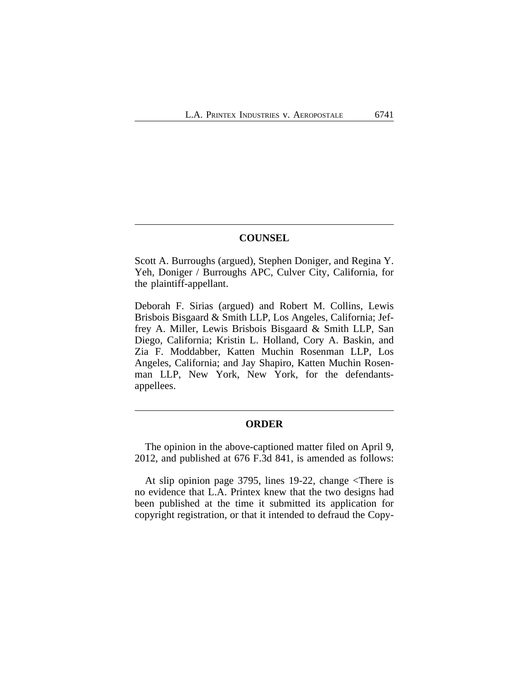### **COUNSEL**

Scott A. Burroughs (argued), Stephen Doniger, and Regina Y. Yeh, Doniger / Burroughs APC, Culver City, California, for the plaintiff-appellant.

Deborah F. Sirias (argued) and Robert M. Collins, Lewis Brisbois Bisgaard & Smith LLP, Los Angeles, California; Jeffrey A. Miller, Lewis Brisbois Bisgaard & Smith LLP, San Diego, California; Kristin L. Holland, Cory A. Baskin, and Zia F. Moddabber, Katten Muchin Rosenman LLP, Los Angeles, California; and Jay Shapiro, Katten Muchin Rosenman LLP, New York, New York, for the defendantsappellees.

## **ORDER**

The opinion in the above-captioned matter filed on April 9, 2012, and published at 676 F.3d 841, is amended as follows:

At slip opinion page 3795, lines 19-22, change <There is no evidence that L.A. Printex knew that the two designs had been published at the time it submitted its application for copyright registration, or that it intended to defraud the Copy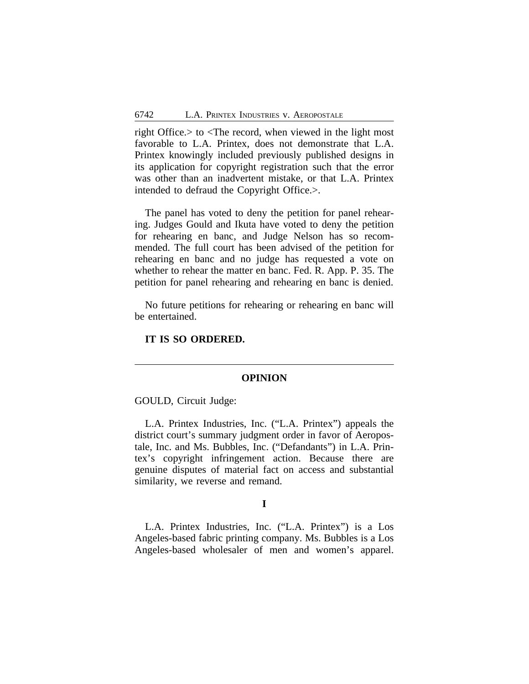right Office.> to <The record, when viewed in the light most favorable to L.A. Printex, does not demonstrate that L.A. Printex knowingly included previously published designs in its application for copyright registration such that the error was other than an inadvertent mistake, or that L.A. Printex intended to defraud the Copyright Office.>.

The panel has voted to deny the petition for panel rehearing. Judges Gould and Ikuta have voted to deny the petition for rehearing en banc, and Judge Nelson has so recommended. The full court has been advised of the petition for rehearing en banc and no judge has requested a vote on whether to rehear the matter en banc. Fed. R. App. P. 35. The petition for panel rehearing and rehearing en banc is denied.

No future petitions for rehearing or rehearing en banc will be entertained.

**IT IS SO ORDERED.**

#### **OPINION**

GOULD, Circuit Judge:

L.A. Printex Industries, Inc. ("L.A. Printex") appeals the district court's summary judgment order in favor of Aeropostale, Inc. and Ms. Bubbles, Inc. ("Defandants") in L.A. Printex's copyright infringement action. Because there are genuine disputes of material fact on access and substantial similarity, we reverse and remand.

## **I**

L.A. Printex Industries, Inc. ("L.A. Printex") is a Los Angeles-based fabric printing company. Ms. Bubbles is a Los Angeles-based wholesaler of men and women's apparel.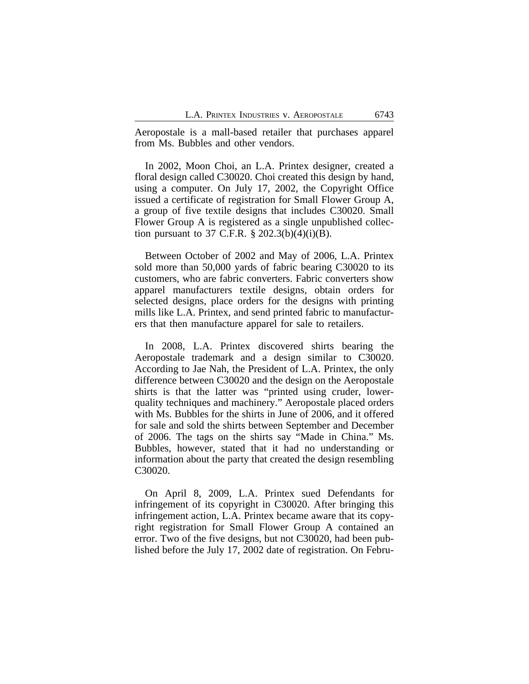Aeropostale is a mall-based retailer that purchases apparel from Ms. Bubbles and other vendors.

In 2002, Moon Choi, an L.A. Printex designer, created a floral design called C30020. Choi created this design by hand, using a computer. On July 17, 2002, the Copyright Office issued a certificate of registration for Small Flower Group A, a group of five textile designs that includes C30020. Small Flower Group A is registered as a single unpublished collection pursuant to 37 C.F.R.  $\S 202.3(b)(4)(i)(B)$ .

Between October of 2002 and May of 2006, L.A. Printex sold more than 50,000 yards of fabric bearing C30020 to its customers, who are fabric converters. Fabric converters show apparel manufacturers textile designs, obtain orders for selected designs, place orders for the designs with printing mills like L.A. Printex, and send printed fabric to manufacturers that then manufacture apparel for sale to retailers.

In 2008, L.A. Printex discovered shirts bearing the Aeropostale trademark and a design similar to C30020. According to Jae Nah, the President of L.A. Printex, the only difference between C30020 and the design on the Aeropostale shirts is that the latter was "printed using cruder, lowerquality techniques and machinery." Aeropostale placed orders with Ms. Bubbles for the shirts in June of 2006, and it offered for sale and sold the shirts between September and December of 2006. The tags on the shirts say "Made in China." Ms. Bubbles, however, stated that it had no understanding or information about the party that created the design resembling C30020.

On April 8, 2009, L.A. Printex sued Defendants for infringement of its copyright in C30020. After bringing this infringement action, L.A. Printex became aware that its copyright registration for Small Flower Group A contained an error. Two of the five designs, but not C30020, had been published before the July 17, 2002 date of registration. On Febru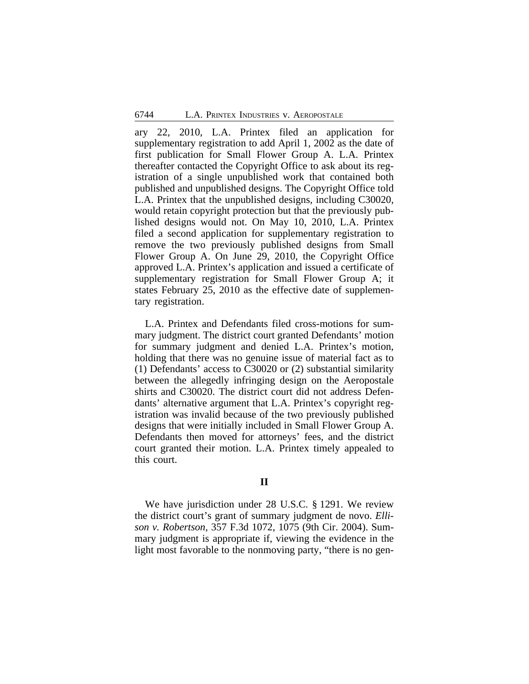ary 22, 2010, L.A. Printex filed an application for supplementary registration to add April 1, 2002 as the date of first publication for Small Flower Group A. L.A. Printex thereafter contacted the Copyright Office to ask about its registration of a single unpublished work that contained both published and unpublished designs. The Copyright Office told L.A. Printex that the unpublished designs, including C30020, would retain copyright protection but that the previously published designs would not. On May 10, 2010, L.A. Printex filed a second application for supplementary registration to remove the two previously published designs from Small Flower Group A. On June 29, 2010, the Copyright Office approved L.A. Printex's application and issued a certificate of supplementary registration for Small Flower Group A; it states February 25, 2010 as the effective date of supplementary registration.

L.A. Printex and Defendants filed cross-motions for summary judgment. The district court granted Defendants' motion for summary judgment and denied L.A. Printex's motion, holding that there was no genuine issue of material fact as to (1) Defendants' access to C30020 or (2) substantial similarity between the allegedly infringing design on the Aeropostale shirts and C30020. The district court did not address Defendants' alternative argument that L.A. Printex's copyright registration was invalid because of the two previously published designs that were initially included in Small Flower Group A. Defendants then moved for attorneys' fees, and the district court granted their motion. L.A. Printex timely appealed to this court.

## **II**

We have jurisdiction under 28 U.S.C. § 1291. We review the district court's grant of summary judgment de novo. *Ellison v. Robertson*, 357 F.3d 1072, 1075 (9th Cir. 2004). Summary judgment is appropriate if, viewing the evidence in the light most favorable to the nonmoving party, "there is no gen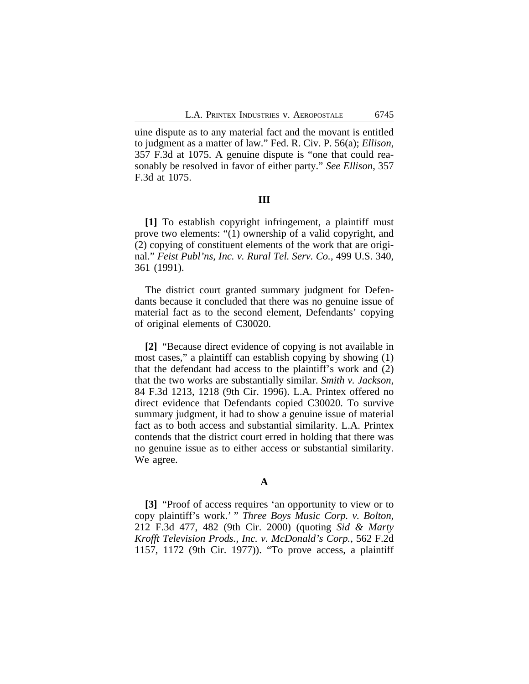uine dispute as to any material fact and the movant is entitled to judgment as a matter of law." Fed. R. Civ. P. 56(a); *Ellison*, 357 F.3d at 1075. A genuine dispute is "one that could reasonably be resolved in favor of either party." *See Ellison*, 357 F.3d at 1075.

#### **III**

**[1]** To establish copyright infringement, a plaintiff must prove two elements: "(1) ownership of a valid copyright, and (2) copying of constituent elements of the work that are original." *Feist Publ'ns, Inc. v. Rural Tel. Serv. Co.*, 499 U.S. 340, 361 (1991).

The district court granted summary judgment for Defendants because it concluded that there was no genuine issue of material fact as to the second element, Defendants' copying of original elements of C30020.

**[2]** "Because direct evidence of copying is not available in most cases," a plaintiff can establish copying by showing (1) that the defendant had access to the plaintiff's work and (2) that the two works are substantially similar. *Smith v. Jackson*, 84 F.3d 1213, 1218 (9th Cir. 1996). L.A. Printex offered no direct evidence that Defendants copied C30020. To survive summary judgment, it had to show a genuine issue of material fact as to both access and substantial similarity. L.A. Printex contends that the district court erred in holding that there was no genuine issue as to either access or substantial similarity. We agree.

## **A**

**[3]** "Proof of access requires 'an opportunity to view or to copy plaintiff's work.' " *Three Boys Music Corp. v. Bolton*, 212 F.3d 477, 482 (9th Cir. 2000) (quoting *Sid & Marty Krofft Television Prods., Inc. v. McDonald's Corp.*, 562 F.2d 1157, 1172 (9th Cir. 1977)). "To prove access, a plaintiff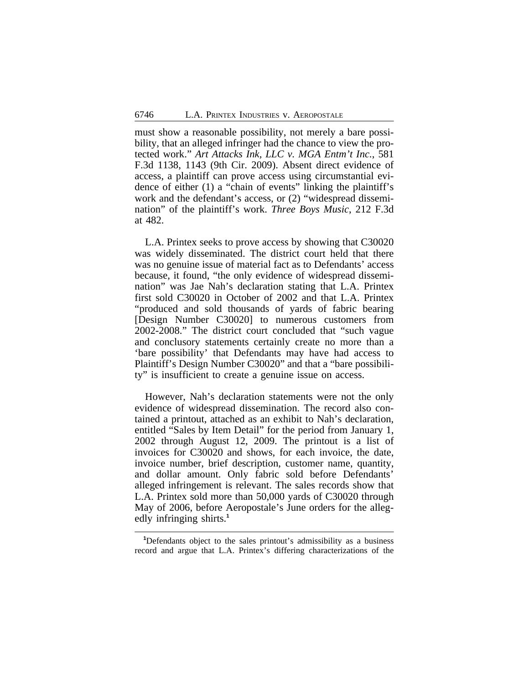must show a reasonable possibility, not merely a bare possibility, that an alleged infringer had the chance to view the protected work." *Art Attacks Ink, LLC v. MGA Entm't Inc.*, 581 F.3d 1138, 1143 (9th Cir. 2009). Absent direct evidence of access, a plaintiff can prove access using circumstantial evidence of either (1) a "chain of events" linking the plaintiff's work and the defendant's access, or (2) "widespread dissemination" of the plaintiff's work. *Three Boys Music*, 212 F.3d at 482.

L.A. Printex seeks to prove access by showing that C30020 was widely disseminated. The district court held that there was no genuine issue of material fact as to Defendants' access because, it found, "the only evidence of widespread dissemination" was Jae Nah's declaration stating that L.A. Printex first sold C30020 in October of 2002 and that L.A. Printex "produced and sold thousands of yards of fabric bearing [Design Number C30020] to numerous customers from 2002-2008." The district court concluded that "such vague and conclusory statements certainly create no more than a 'bare possibility' that Defendants may have had access to Plaintiff's Design Number C30020" and that a "bare possibility" is insufficient to create a genuine issue on access.

However, Nah's declaration statements were not the only evidence of widespread dissemination. The record also contained a printout, attached as an exhibit to Nah's declaration, entitled "Sales by Item Detail" for the period from January 1, 2002 through August 12, 2009. The printout is a list of invoices for C30020 and shows, for each invoice, the date, invoice number, brief description, customer name, quantity, and dollar amount. Only fabric sold before Defendants' alleged infringement is relevant. The sales records show that L.A. Printex sold more than 50,000 yards of C30020 through May of 2006, before Aeropostale's June orders for the allegedly infringing shirts.**<sup>1</sup>**

**<sup>1</sup>**Defendants object to the sales printout's admissibility as a business record and argue that L.A. Printex's differing characterizations of the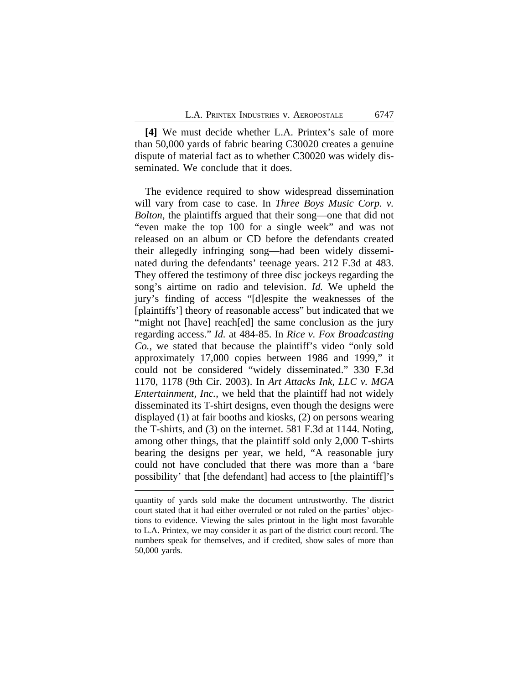**[4]** We must decide whether L.A. Printex's sale of more than 50,000 yards of fabric bearing C30020 creates a genuine dispute of material fact as to whether C30020 was widely disseminated. We conclude that it does.

The evidence required to show widespread dissemination will vary from case to case. In *Three Boys Music Corp. v. Bolton*, the plaintiffs argued that their song—one that did not "even make the top 100 for a single week" and was not released on an album or CD before the defendants created their allegedly infringing song—had been widely disseminated during the defendants' teenage years. 212 F.3d at 483. They offered the testimony of three disc jockeys regarding the song's airtime on radio and television. *Id.* We upheld the jury's finding of access "[d]espite the weaknesses of the [plaintiffs'] theory of reasonable access" but indicated that we "might not [have] reach[ed] the same conclusion as the jury regarding access." *Id.* at 484-85. In *Rice v. Fox Broadcasting Co.*, we stated that because the plaintiff's video "only sold approximately 17,000 copies between 1986 and 1999," it could not be considered "widely disseminated." 330 F.3d 1170, 1178 (9th Cir. 2003). In *Art Attacks Ink, LLC v. MGA Entertainment, Inc.*, we held that the plaintiff had not widely disseminated its T-shirt designs, even though the designs were displayed (1) at fair booths and kiosks, (2) on persons wearing the T-shirts, and (3) on the internet. 581 F.3d at 1144. Noting, among other things, that the plaintiff sold only 2,000 T-shirts bearing the designs per year, we held, "A reasonable jury could not have concluded that there was more than a 'bare possibility' that [the defendant] had access to [the plaintiff]'s

quantity of yards sold make the document untrustworthy. The district court stated that it had either overruled or not ruled on the parties' objections to evidence. Viewing the sales printout in the light most favorable to L.A. Printex, we may consider it as part of the district court record. The numbers speak for themselves, and if credited, show sales of more than 50,000 yards.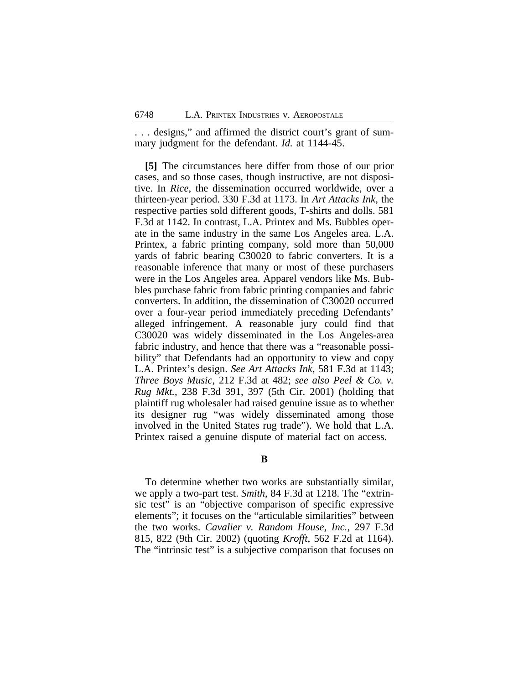. . . designs," and affirmed the district court's grant of summary judgment for the defendant. *Id.* at 1144-45.

**[5]** The circumstances here differ from those of our prior cases, and so those cases, though instructive, are not dispositive. In *Rice*, the dissemination occurred worldwide, over a thirteen-year period. 330 F.3d at 1173. In *Art Attacks Ink*, the respective parties sold different goods, T-shirts and dolls. 581 F.3d at 1142. In contrast, L.A. Printex and Ms. Bubbles operate in the same industry in the same Los Angeles area. L.A. Printex, a fabric printing company, sold more than 50,000 yards of fabric bearing C30020 to fabric converters. It is a reasonable inference that many or most of these purchasers were in the Los Angeles area. Apparel vendors like Ms. Bubbles purchase fabric from fabric printing companies and fabric converters. In addition, the dissemination of C30020 occurred over a four-year period immediately preceding Defendants' alleged infringement. A reasonable jury could find that C30020 was widely disseminated in the Los Angeles-area fabric industry, and hence that there was a "reasonable possibility" that Defendants had an opportunity to view and copy L.A. Printex's design. *See Art Attacks Ink*, 581 F.3d at 1143; *Three Boys Music*, 212 F.3d at 482; *see also Peel & Co. v. Rug Mkt.*, 238 F.3d 391, 397 (5th Cir. 2001) (holding that plaintiff rug wholesaler had raised genuine issue as to whether its designer rug "was widely disseminated among those involved in the United States rug trade"). We hold that L.A. Printex raised a genuine dispute of material fact on access.

**B**

To determine whether two works are substantially similar, we apply a two-part test. *Smith*, 84 F.3d at 1218. The "extrinsic test" is an "objective comparison of specific expressive elements"; it focuses on the "articulable similarities" between the two works. *Cavalier v. Random House, Inc.*, 297 F.3d 815, 822 (9th Cir. 2002) (quoting *Krofft*, 562 F.2d at 1164). The "intrinsic test" is a subjective comparison that focuses on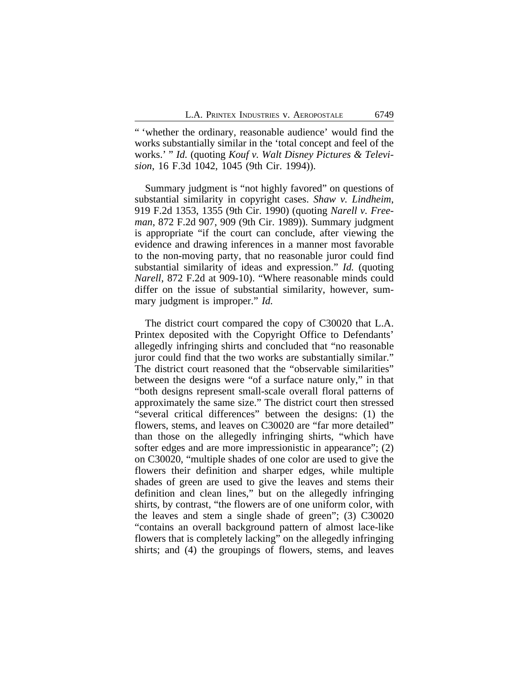" 'whether the ordinary, reasonable audience' would find the works substantially similar in the 'total concept and feel of the works.' " *Id.* (quoting *Kouf v. Walt Disney Pictures & Television*, 16 F.3d 1042, 1045 (9th Cir. 1994)).

Summary judgment is "not highly favored" on questions of substantial similarity in copyright cases. *Shaw v. Lindheim*, 919 F.2d 1353, 1355 (9th Cir. 1990) (quoting *Narell v. Freeman*, 872 F.2d 907, 909 (9th Cir. 1989)). Summary judgment is appropriate "if the court can conclude, after viewing the evidence and drawing inferences in a manner most favorable to the non-moving party, that no reasonable juror could find substantial similarity of ideas and expression." *Id.* (quoting *Narell*, 872 F.2d at 909-10). "Where reasonable minds could differ on the issue of substantial similarity, however, summary judgment is improper." *Id.*

The district court compared the copy of C30020 that L.A. Printex deposited with the Copyright Office to Defendants' allegedly infringing shirts and concluded that "no reasonable juror could find that the two works are substantially similar." The district court reasoned that the "observable similarities" between the designs were "of a surface nature only," in that "both designs represent small-scale overall floral patterns of approximately the same size." The district court then stressed "several critical differences" between the designs: (1) the flowers, stems, and leaves on C30020 are "far more detailed" than those on the allegedly infringing shirts, "which have softer edges and are more impressionistic in appearance"; (2) on C30020, "multiple shades of one color are used to give the flowers their definition and sharper edges, while multiple shades of green are used to give the leaves and stems their definition and clean lines," but on the allegedly infringing shirts, by contrast, "the flowers are of one uniform color, with the leaves and stem a single shade of green"; (3) C30020 "contains an overall background pattern of almost lace-like flowers that is completely lacking" on the allegedly infringing shirts; and (4) the groupings of flowers, stems, and leaves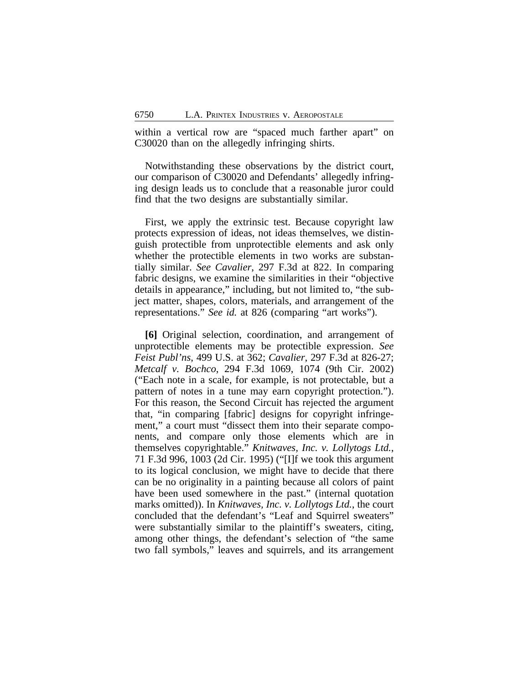within a vertical row are "spaced much farther apart" on C30020 than on the allegedly infringing shirts.

Notwithstanding these observations by the district court, our comparison of C30020 and Defendants' allegedly infringing design leads us to conclude that a reasonable juror could find that the two designs are substantially similar.

First, we apply the extrinsic test. Because copyright law protects expression of ideas, not ideas themselves, we distinguish protectible from unprotectible elements and ask only whether the protectible elements in two works are substantially similar. *See Cavalier*, 297 F.3d at 822. In comparing fabric designs, we examine the similarities in their "objective details in appearance," including, but not limited to, "the subject matter, shapes, colors, materials, and arrangement of the representations." *See id.* at 826 (comparing "art works").

**[6]** Original selection, coordination, and arrangement of unprotectible elements may be protectible expression. *See Feist Publ'ns*, 499 U.S. at 362; *Cavalier*, 297 F.3d at 826-27; *Metcalf v. Bochco*, 294 F.3d 1069, 1074 (9th Cir. 2002) ("Each note in a scale, for example, is not protectable, but a pattern of notes in a tune may earn copyright protection."). For this reason, the Second Circuit has rejected the argument that, "in comparing [fabric] designs for copyright infringement," a court must "dissect them into their separate components, and compare only those elements which are in themselves copyrightable." *Knitwaves, Inc. v. Lollytogs Ltd.*, 71 F.3d 996, 1003 (2d Cir. 1995) ("[I]f we took this argument to its logical conclusion, we might have to decide that there can be no originality in a painting because all colors of paint have been used somewhere in the past." (internal quotation marks omitted)). In *Knitwaves, Inc. v. Lollytogs Ltd.*, the court concluded that the defendant's "Leaf and Squirrel sweaters" were substantially similar to the plaintiff's sweaters, citing, among other things, the defendant's selection of "the same two fall symbols," leaves and squirrels, and its arrangement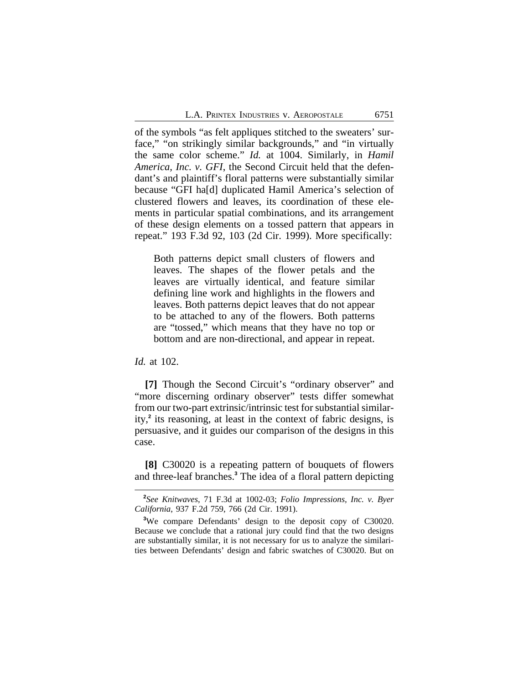of the symbols "as felt appliques stitched to the sweaters' surface," "on strikingly similar backgrounds," and "in virtually the same color scheme." *Id.* at 1004. Similarly, in *Hamil America, Inc. v. GFI*, the Second Circuit held that the defendant's and plaintiff's floral patterns were substantially similar because "GFI ha[d] duplicated Hamil America's selection of clustered flowers and leaves, its coordination of these elements in particular spatial combinations, and its arrangement of these design elements on a tossed pattern that appears in repeat." 193 F.3d 92, 103 (2d Cir. 1999). More specifically:

Both patterns depict small clusters of flowers and leaves. The shapes of the flower petals and the leaves are virtually identical, and feature similar defining line work and highlights in the flowers and leaves. Both patterns depict leaves that do not appear to be attached to any of the flowers. Both patterns are "tossed," which means that they have no top or bottom and are non-directional, and appear in repeat.

*Id.* at 102.

**[7]** Though the Second Circuit's "ordinary observer" and "more discerning ordinary observer" tests differ somewhat from our two-part extrinsic/intrinsic test for substantial similarity,**<sup>2</sup>** its reasoning, at least in the context of fabric designs, is persuasive, and it guides our comparison of the designs in this case.

**[8]** C30020 is a repeating pattern of bouquets of flowers and three-leaf branches.**<sup>3</sup>** The idea of a floral pattern depicting

**<sup>2</sup>** *See Knitwaves*, 71 F.3d at 1002-03; *Folio Impressions, Inc. v. Byer California*, 937 F.2d 759, 766 (2d Cir. 1991).

**<sup>3</sup>**We compare Defendants' design to the deposit copy of C30020. Because we conclude that a rational jury could find that the two designs are substantially similar, it is not necessary for us to analyze the similarities between Defendants' design and fabric swatches of C30020. But on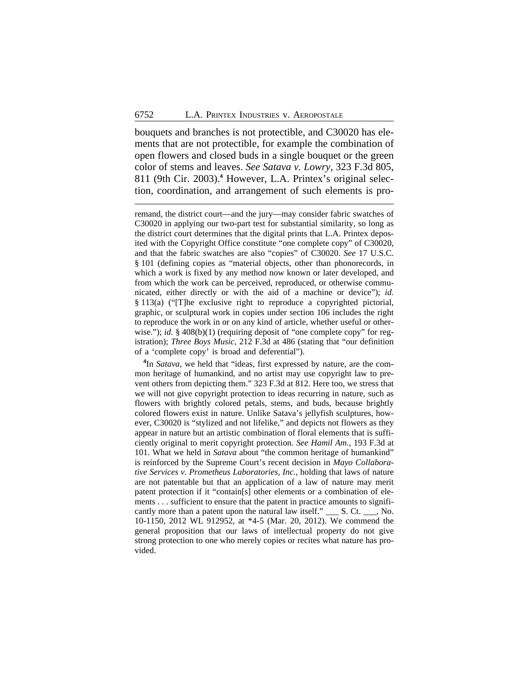bouquets and branches is not protectible, and C30020 has elements that are not protectible, for example the combination of open flowers and closed buds in a single bouquet or the green color of stems and leaves. *See Satava v. Lowry*, 323 F.3d 805, 811 (9th Cir. 2003).**<sup>4</sup>** However, L.A. Printex's original selection, coordination, and arrangement of such elements is pro-

remand, the district court—and the jury—may consider fabric swatches of C30020 in applying our two-part test for substantial similarity, so long as the district court determines that the digital prints that L.A. Printex deposited with the Copyright Office constitute "one complete copy" of C30020, and that the fabric swatches are also "copies" of C30020. *See* 17 U.S.C. § 101 (defining copies as "material objects, other than phonorecords, in which a work is fixed by any method now known or later developed, and from which the work can be perceived, reproduced, or otherwise communicated, either directly or with the aid of a machine or device"); *id.* § 113(a) ("[T]he exclusive right to reproduce a copyrighted pictorial, graphic, or sculptural work in copies under section 106 includes the right to reproduce the work in or on any kind of article, whether useful or otherwise."); *id.* § 408(b)(1) (requiring deposit of "one complete copy" for registration); *Three Boys Music*, 212 F.3d at 486 (stating that "our definition of a 'complete copy' is broad and deferential").

**4** In *Satava*, we held that "ideas, first expressed by nature, are the common heritage of humankind, and no artist may use copyright law to prevent others from depicting them." 323 F.3d at 812. Here too, we stress that we will not give copyright protection to ideas recurring in nature, such as flowers with brightly colored petals, stems, and buds, because brightly colored flowers exist in nature. Unlike Satava's jellyfish sculptures, however, C30020 is "stylized and not lifelike," and depicts not flowers as they appear in nature but an artistic combination of floral elements that is sufficiently original to merit copyright protection. *See Hamil Am.*, 193 F.3d at 101. What we held in *Satava* about "the common heritage of humankind" is reinforced by the Supreme Court's recent decision in *Mayo Collaborative Services v. Prometheus Laboratories, Inc.*, holding that laws of nature are not patentable but that an application of a law of nature may merit patent protection if it "contain[s] other elements or a combination of elements . . . sufficient to ensure that the patent in practice amounts to significantly more than a patent upon the natural law itself." \_\_\_ S. Ct. \_\_\_, No. 10-1150, 2012 WL 912952, at \*4-5 (Mar. 20, 2012). We commend the general proposition that our laws of intellectual property do not give strong protection to one who merely copies or recites what nature has provided.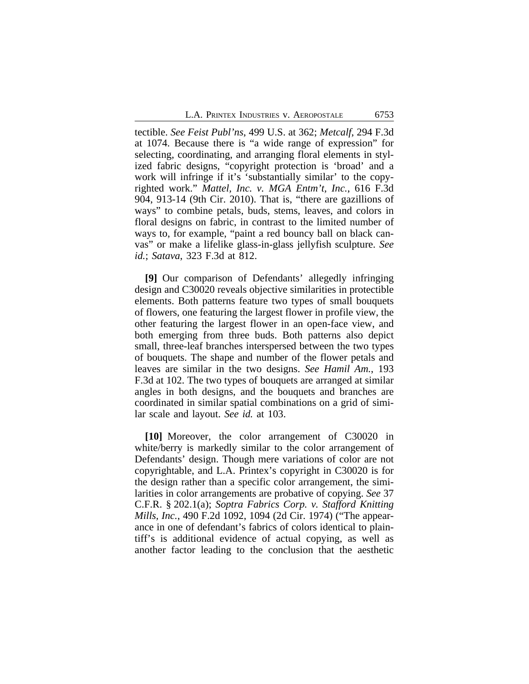tectible. *See Feist Publ'ns*, 499 U.S. at 362; *Metcalf*, 294 F.3d at 1074. Because there is "a wide range of expression" for selecting, coordinating, and arranging floral elements in stylized fabric designs, "copyright protection is 'broad' and a work will infringe if it's 'substantially similar' to the copyrighted work." *Mattel, Inc. v. MGA Entm't, Inc.*, 616 F.3d 904, 913-14 (9th Cir. 2010). That is, "there are gazillions of ways" to combine petals, buds, stems, leaves, and colors in floral designs on fabric, in contrast to the limited number of ways to, for example, "paint a red bouncy ball on black canvas" or make a lifelike glass-in-glass jellyfish sculpture. *See id.*; *Satava*, 323 F.3d at 812.

**[9]** Our comparison of Defendants' allegedly infringing design and C30020 reveals objective similarities in protectible elements. Both patterns feature two types of small bouquets of flowers, one featuring the largest flower in profile view, the other featuring the largest flower in an open-face view, and both emerging from three buds. Both patterns also depict small, three-leaf branches interspersed between the two types of bouquets. The shape and number of the flower petals and leaves are similar in the two designs. *See Hamil Am.*, 193 F.3d at 102. The two types of bouquets are arranged at similar angles in both designs, and the bouquets and branches are coordinated in similar spatial combinations on a grid of similar scale and layout. *See id.* at 103.

**[10]** Moreover, the color arrangement of C30020 in white/berry is markedly similar to the color arrangement of Defendants' design. Though mere variations of color are not copyrightable, and L.A. Printex's copyright in C30020 is for the design rather than a specific color arrangement, the similarities in color arrangements are probative of copying. *See* 37 C.F.R. § 202.1(a); *Soptra Fabrics Corp. v. Stafford Knitting Mills, Inc.*, 490 F.2d 1092, 1094 (2d Cir. 1974) ("The appearance in one of defendant's fabrics of colors identical to plaintiff's is additional evidence of actual copying, as well as another factor leading to the conclusion that the aesthetic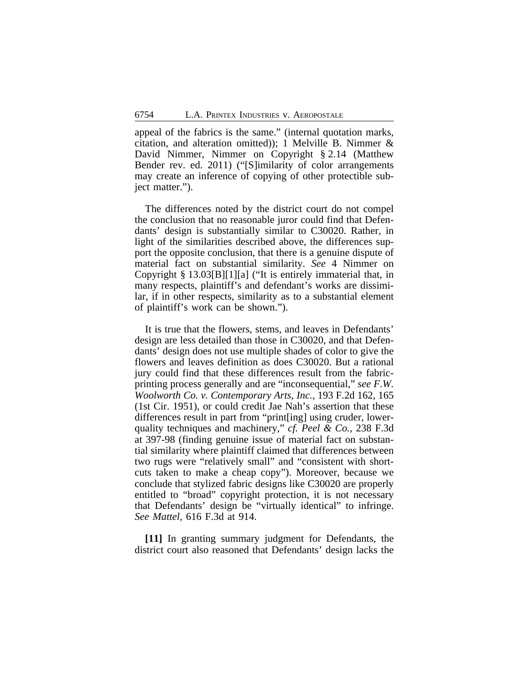appeal of the fabrics is the same." (internal quotation marks, citation, and alteration omitted)); 1 Melville B. Nimmer & David Nimmer, Nimmer on Copyright § 2.14 (Matthew Bender rev. ed. 2011) ("[S]imilarity of color arrangements may create an inference of copying of other protectible subject matter.").

The differences noted by the district court do not compel the conclusion that no reasonable juror could find that Defendants' design is substantially similar to C30020. Rather, in light of the similarities described above, the differences support the opposite conclusion, that there is a genuine dispute of material fact on substantial similarity. *See* 4 Nimmer on Copyright § 13.03[B][1][a] ("It is entirely immaterial that, in many respects, plaintiff's and defendant's works are dissimilar, if in other respects, similarity as to a substantial element of plaintiff's work can be shown.").

It is true that the flowers, stems, and leaves in Defendants' design are less detailed than those in C30020, and that Defendants' design does not use multiple shades of color to give the flowers and leaves definition as does C30020. But a rational jury could find that these differences result from the fabricprinting process generally and are "inconsequential," *see F.W. Woolworth Co. v. Contemporary Arts, Inc.*, 193 F.2d 162, 165 (1st Cir. 1951), or could credit Jae Nah's assertion that these differences result in part from "print[ing] using cruder, lowerquality techniques and machinery," *cf. Peel & Co.*, 238 F.3d at 397-98 (finding genuine issue of material fact on substantial similarity where plaintiff claimed that differences between two rugs were "relatively small" and "consistent with shortcuts taken to make a cheap copy"). Moreover, because we conclude that stylized fabric designs like C30020 are properly entitled to "broad" copyright protection, it is not necessary that Defendants' design be "virtually identical" to infringe. *See Mattel*, 616 F.3d at 914.

**[11]** In granting summary judgment for Defendants, the district court also reasoned that Defendants' design lacks the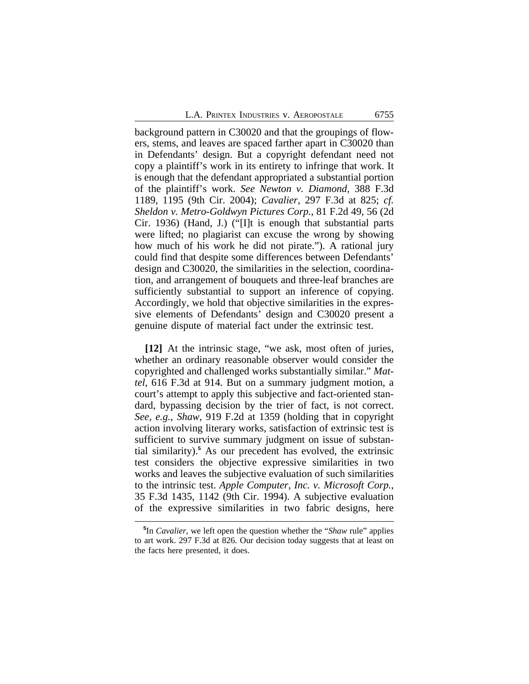background pattern in C30020 and that the groupings of flowers, stems, and leaves are spaced farther apart in C30020 than in Defendants' design. But a copyright defendant need not copy a plaintiff's work in its entirety to infringe that work. It is enough that the defendant appropriated a substantial portion of the plaintiff's work. *See Newton v. Diamond*, 388 F.3d 1189, 1195 (9th Cir. 2004); *Cavalier*, 297 F.3d at 825; *cf. Sheldon v. Metro-Goldwyn Pictures Corp.*, 81 F.2d 49, 56 (2d Cir. 1936) (Hand, J.) ("[I]t is enough that substantial parts were lifted; no plagiarist can excuse the wrong by showing how much of his work he did not pirate."). A rational jury could find that despite some differences between Defendants' design and C30020, the similarities in the selection, coordination, and arrangement of bouquets and three-leaf branches are sufficiently substantial to support an inference of copying. Accordingly, we hold that objective similarities in the expressive elements of Defendants' design and C30020 present a genuine dispute of material fact under the extrinsic test.

**[12]** At the intrinsic stage, "we ask, most often of juries, whether an ordinary reasonable observer would consider the copyrighted and challenged works substantially similar." *Mattel*, 616 F.3d at 914. But on a summary judgment motion, a court's attempt to apply this subjective and fact-oriented standard, bypassing decision by the trier of fact, is not correct. *See, e.g.*, *Shaw*, 919 F.2d at 1359 (holding that in copyright action involving literary works, satisfaction of extrinsic test is sufficient to survive summary judgment on issue of substantial similarity).**<sup>5</sup>** As our precedent has evolved, the extrinsic test considers the objective expressive similarities in two works and leaves the subjective evaluation of such similarities to the intrinsic test. *Apple Computer, Inc. v. Microsoft Corp.*, 35 F.3d 1435, 1142 (9th Cir. 1994). A subjective evaluation of the expressive similarities in two fabric designs, here

**<sup>5</sup>** In *Cavalier*, we left open the question whether the "*Shaw* rule" applies to art work. 297 F.3d at 826. Our decision today suggests that at least on the facts here presented, it does.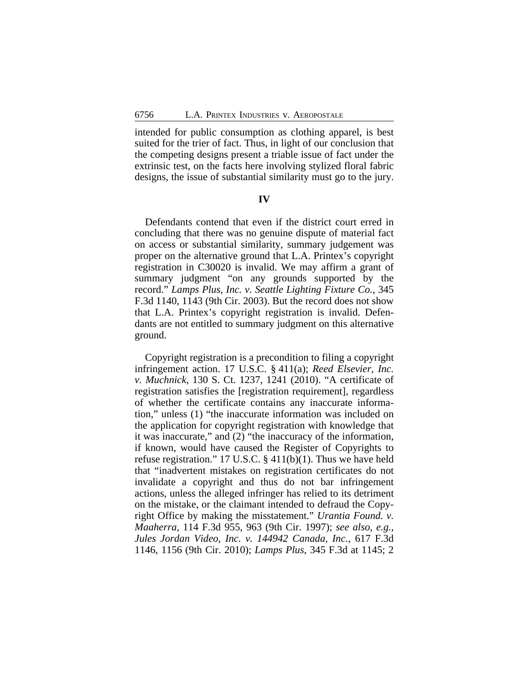intended for public consumption as clothing apparel, is best suited for the trier of fact. Thus, in light of our conclusion that the competing designs present a triable issue of fact under the extrinsic test, on the facts here involving stylized floral fabric designs, the issue of substantial similarity must go to the jury.

### **IV**

Defendants contend that even if the district court erred in concluding that there was no genuine dispute of material fact on access or substantial similarity, summary judgement was proper on the alternative ground that L.A. Printex's copyright registration in C30020 is invalid. We may affirm a grant of summary judgment "on any grounds supported by the record." *Lamps Plus, Inc. v. Seattle Lighting Fixture Co.*, 345 F.3d 1140, 1143 (9th Cir. 2003). But the record does not show that L.A. Printex's copyright registration is invalid. Defendants are not entitled to summary judgment on this alternative ground.

Copyright registration is a precondition to filing a copyright infringement action. 17 U.S.C. § 411(a); *Reed Elsevier, Inc. v. Muchnick*, 130 S. Ct. 1237, 1241 (2010). "A certificate of registration satisfies the [registration requirement], regardless of whether the certificate contains any inaccurate information," unless (1) "the inaccurate information was included on the application for copyright registration with knowledge that it was inaccurate," and (2) "the inaccuracy of the information, if known, would have caused the Register of Copyrights to refuse registration." 17 U.S.C. § 411(b)(1). Thus we have held that "inadvertent mistakes on registration certificates do not invalidate a copyright and thus do not bar infringement actions, unless the alleged infringer has relied to its detriment on the mistake, or the claimant intended to defraud the Copyright Office by making the misstatement." *Urantia Found. v. Maaherra*, 114 F.3d 955, 963 (9th Cir. 1997); *see also, e.g.*, *Jules Jordan Video, Inc. v. 144942 Canada, Inc.*, 617 F.3d 1146, 1156 (9th Cir. 2010); *Lamps Plus*, 345 F.3d at 1145; 2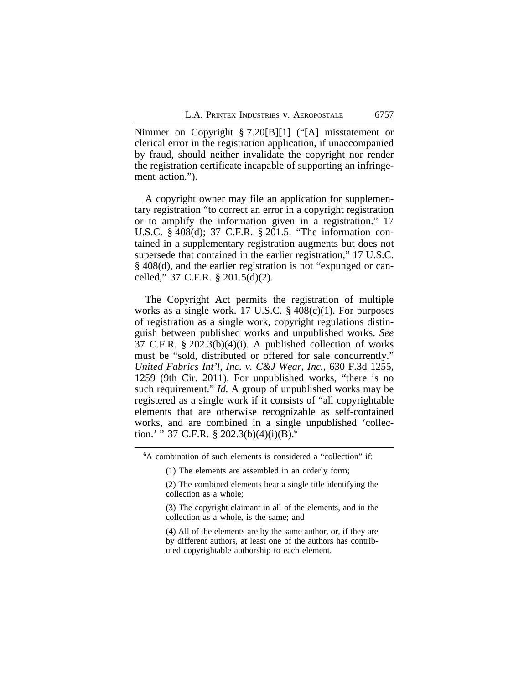Nimmer on Copyright § 7.20[B][1] ("[A] misstatement or clerical error in the registration application, if unaccompanied by fraud, should neither invalidate the copyright nor render the registration certificate incapable of supporting an infringement action.").

A copyright owner may file an application for supplementary registration "to correct an error in a copyright registration or to amplify the information given in a registration." 17 U.S.C. § 408(d); 37 C.F.R. § 201.5. "The information contained in a supplementary registration augments but does not supersede that contained in the earlier registration," 17 U.S.C. § 408(d), and the earlier registration is not "expunged or cancelled," 37 C.F.R. § 201.5(d)(2).

The Copyright Act permits the registration of multiple works as a single work. 17 U.S.C.  $\S$  408(c)(1). For purposes of registration as a single work, copyright regulations distinguish between published works and unpublished works. *See* 37 C.F.R. § 202.3(b)(4)(i). A published collection of works must be "sold, distributed or offered for sale concurrently." *United Fabrics Int'l, Inc. v. C&J Wear, Inc.*, 630 F.3d 1255, 1259 (9th Cir. 2011). For unpublished works, "there is no such requirement." *Id.* A group of unpublished works may be registered as a single work if it consists of "all copyrightable elements that are otherwise recognizable as self-contained works, and are combined in a single unpublished 'collection.' " 37 C.F.R. § 202.3(b)(4)(i)(B).**<sup>6</sup>**

(4) All of the elements are by the same author, or, if they are by different authors, at least one of the authors has contributed copyrightable authorship to each element.

**<sup>6</sup>**A combination of such elements is considered a "collection" if:

<sup>(1)</sup> The elements are assembled in an orderly form;

<sup>(2)</sup> The combined elements bear a single title identifying the collection as a whole;

<sup>(3)</sup> The copyright claimant in all of the elements, and in the collection as a whole, is the same; and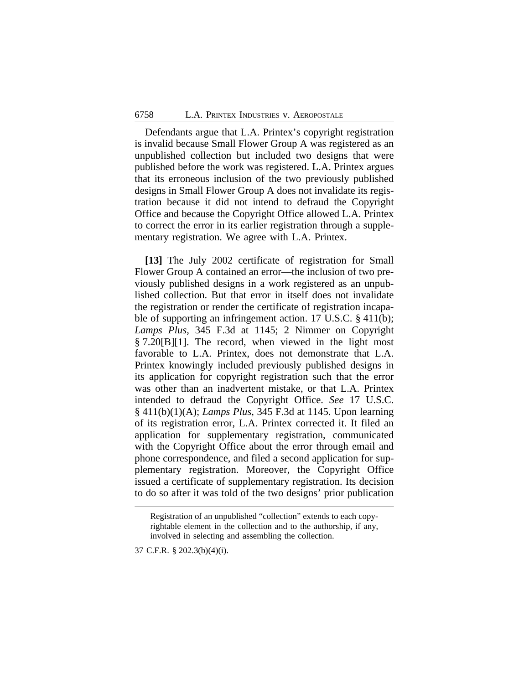Defendants argue that L.A. Printex's copyright registration is invalid because Small Flower Group A was registered as an unpublished collection but included two designs that were published before the work was registered. L.A. Printex argues that its erroneous inclusion of the two previously published designs in Small Flower Group A does not invalidate its registration because it did not intend to defraud the Copyright Office and because the Copyright Office allowed L.A. Printex to correct the error in its earlier registration through a supplementary registration. We agree with L.A. Printex.

**[13]** The July 2002 certificate of registration for Small Flower Group A contained an error—the inclusion of two previously published designs in a work registered as an unpublished collection. But that error in itself does not invalidate the registration or render the certificate of registration incapable of supporting an infringement action. 17 U.S.C. § 411(b); *Lamps Plus*, 345 F.3d at 1145; 2 Nimmer on Copyright § 7.20[B][1]. The record, when viewed in the light most favorable to L.A. Printex, does not demonstrate that L.A. Printex knowingly included previously published designs in its application for copyright registration such that the error was other than an inadvertent mistake, or that L.A. Printex intended to defraud the Copyright Office. *See* 17 U.S.C. § 411(b)(1)(A); *Lamps Plus*, 345 F.3d at 1145. Upon learning of its registration error, L.A. Printex corrected it. It filed an application for supplementary registration, communicated with the Copyright Office about the error through email and phone correspondence, and filed a second application for supplementary registration. Moreover, the Copyright Office issued a certificate of supplementary registration. Its decision to do so after it was told of the two designs' prior publication

37 C.F.R. § 202.3(b)(4)(i).

Registration of an unpublished "collection" extends to each copyrightable element in the collection and to the authorship, if any, involved in selecting and assembling the collection.